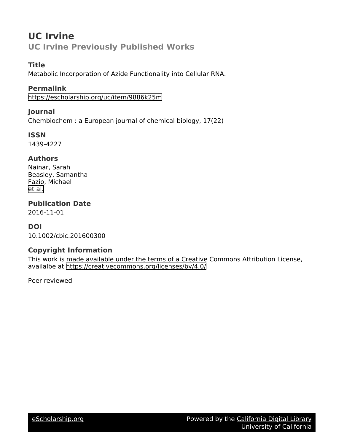# **UC Irvine UC Irvine Previously Published Works**

# **Title**

Metabolic Incorporation of Azide Functionality into Cellular RNA.

# **Permalink**

<https://escholarship.org/uc/item/9886k25m>

# **Journal**

Chembiochem : a European journal of chemical biology, 17(22)

**ISSN**

1439-4227

## **Authors**

Nainar, Sarah Beasley, Samantha Fazio, Michael [et al.](https://escholarship.org/uc/item/9886k25m#author)

**Publication Date**

2016-11-01

# **DOI**

10.1002/cbic.201600300

# **Copyright Information**

This work is made available under the terms of a Creative Commons Attribution License, availalbe at <https://creativecommons.org/licenses/by/4.0/>

Peer reviewed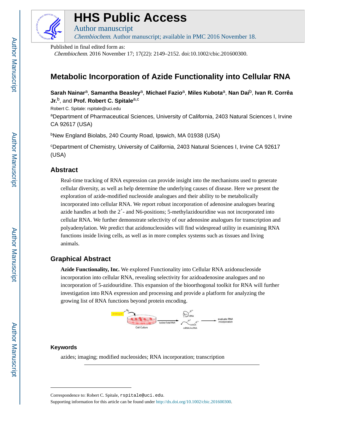

# **HHS Public Access**

Author manuscript Chembiochem. Author manuscript; available in PMC 2016 November 18.

Published in final edited form as: Chembiochem. 2016 November 17; 17(22): 2149–2152. doi:10.1002/cbic.201600300.

# **Metabolic Incorporation of Azide Functionality into Cellular RNA**

**Sarah Nainar**a, **Samantha Beasley**a, **Michael Fazio**a, **Miles Kubota**a, **Nan Dai**b, **Ivan R. Corrêa Jr.**b, and **Prof. Robert C. Spitale**a,c

Robert C. Spitale: rspitale@uci.edu <sup>a</sup>Department of Pharmaceutical Sciences, University of California, 2403 Natural Sciences I, Irvine CA 92617 (USA)

<sup>b</sup>New England Biolabs, 240 County Road, Ipswich, MA 01938 (USA)

<sup>c</sup>Department of Chemistry, University of California, 2403 Natural Sciences I, Irvine CA 92617 (USA)

## **Abstract**

Real-time tracking of RNA expression can provide insight into the mechanisms used to generate cellular diversity, as well as help determine the underlying causes of disease. Here we present the exploration of azide-modified nucleoside analogues and their ability to be metabolically incorporated into cellular RNA. We report robust incorporation of adenosine analogues bearing azide handles at both the 2′- and N6-positions; 5-methylazidouridine was not incorporated into cellular RNA. We further demonstrate selectivity of our adenosine analogues for transcription and polyadenylation. We predict that azidonucleosides will find widespread utility in examining RNA functions inside living cells, as well as in more complex systems such as tissues and living animals.

# **Graphical Abstract**

**Azide Functionality, Inc.** We explored Functionality into Cellular RNA azidonucleoside incorporation into cellular RNA, revealing selectivity for azidoadenosine analogues and no incorporation of 5-azidouridine. This expansion of the bioorthogonal toolkit for RNA will further investigation into RNA expression and processing and provide a platform for analyzing the growing list of RNA functions beyond protein encoding.



## **Keywords**

azides; imaging; modified nucleosides; RNA incorporation; transcription

Supporting information for this article can be found under <http://dx.doi.org/10.1002/cbic.201600300>.

Correspondence to: Robert C. Spitale, rspitale@uci.edu.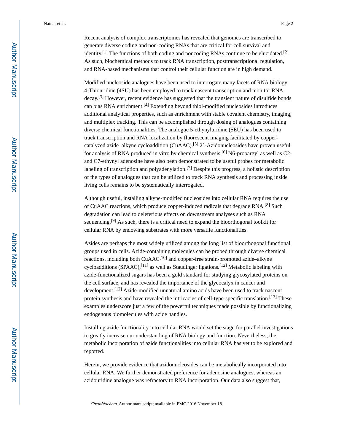Recent analysis of complex transcriptomes has revealed that genomes are transcribed to generate diverse coding and non-coding RNAs that are critical for cell survival and identity.<sup>[1]</sup> The functions of both coding and noncoding RNAs continue to be elucidated.<sup>[2]</sup> As such, biochemical methods to track RNA transcription, posttranscriptional regulation, and RNA-based mechanisms that control their cellular function are in high demand.

Modified nucleoside analogues have been used to interrogate many facets of RNA biology. 4-Thiouridine (4SU) has been employed to track nascent transcription and monitor RNA decay.<sup>[3]</sup> However, recent evidence has suggested that the transient nature of disulfide bonds can bias RNA enrichment.<sup>[4]</sup> Extending beyond thiol-modified nucleosides introduces additional analytical properties, such as enrichment with stable covalent chemistry, imaging, and multiplex tracking. This can be accomplished through dosing of analogues containing diverse chemical functionalities. The analogue 5-ethynyluridine (5EU) has been used to track transcription and RNA localization by fluorescent imaging facilitated by coppercatalyzed azide–alkyne cycloaddition (CuAAC).<sup>[5]</sup> 2'-Azidonucleosides have proven useful for analysis of RNA produced in vitro by chemical synthesis.<sup>[6]</sup> N6-propargyl as well as C2and C7-ethynyl adenosine have also been demonstrated to be useful probes for metabolic labeling of transcription and polyadenylation.<sup>[7]</sup> Despite this progress, a holistic description of the types of analogues that can be utilized to track RNA synthesis and processing inside living cells remains to be systematically interrogated.

Although useful, installing alkyne-modified nucleosides into cellular RNA requires the use of CuAAC reactions, which produce copper-induced radicals that degrade RNA.<sup>[8]</sup> Such degradation can lead to deleterious effects on downstream analyses such as RNA sequencing.<sup>[9]</sup> As such, there is a critical need to expand the bioorthogonal toolkit for cellular RNA by endowing substrates with more versatile functionalities.

Azides are perhaps the most widely utilized among the long list of bioorthogonal functional groups used in cells. Azide-containing molecules can be probed through diverse chemical reactions, including both CuAAC<sup>[10]</sup> and copper-free strain-promoted azide-alkyne cycloadditions (SPAAC),<sup>[11]</sup> as well as Staudinger ligations.<sup>[12]</sup> Metabolic labeling with azide-functionalized sugars has been a gold standard for studying glycosylated proteins on the cell surface, and has revealed the importance of the glycocalyx in cancer and development.<sup>[12]</sup> Azide-modified unnatural amino acids have been used to track nascent protein synthesis and have revealed the intricacies of cell-type-specific translation.<sup>[13]</sup> These examples underscore just a few of the powerful techniques made possible by functionalizing endogenous biomolecules with azide handles.

Installing azide functionality into cellular RNA would set the stage for parallel investigations to greatly increase our understanding of RNA biology and function. Nevertheless, the metabolic incorporation of azide functionalities into cellular RNA has yet to be explored and reported.

Herein, we provide evidence that azidonucleosides can be metabolically incorporated into cellular RNA. We further demonstrated preference for adenosine analogues, whereas an azidouridine analogue was refractory to RNA incorporation. Our data also suggest that,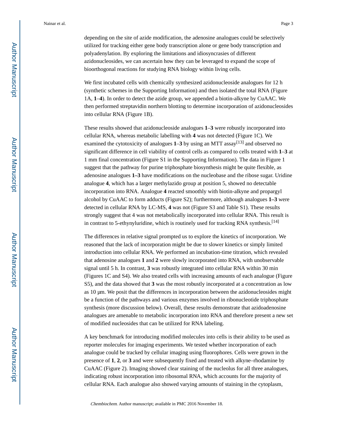depending on the site of azide modification, the adenosine analogues could be selectively utilized for tracking either gene body transcription alone or gene body transcription and polyadenylation. By exploring the limitations and idiosyncrasies of different azidonucleosides, we can ascertain how they can be leveraged to expand the scope of bioorthogonal reactions for studying RNA biology within living cells.

We first incubated cells with chemically synthesized azidonucleoside analogues for 12 h (synthetic schemes in the Supporting Information) and then isolated the total RNA (Figure 1A, **1**–**4**). In order to detect the azide group, we appended a biotin-alkyne by CuAAC. We then performed streptavidin northern blotting to determine incorporation of azidonucleosides into cellular RNA (Figure 1B).

These results showed that azidonucleoside analogues **1**–**3** were robustly incorporated into cellular RNA, whereas metabolic labelling with **4** was not detected (Figure 1C). We examined the cytotoxicity of analogues 1–3 by using an MTT assay<sup>[13]</sup> and observed no significant difference in cell viability of control cells as compared to cells treated with **1**–**3** at 1 mm final concentration (Figure S1 in the Supporting Information). The data in Figure 1 suggest that the pathway for purine triphosphate biosynthesis might be quite flexible, as adenosine analogues **1–3** have modifications on the nucleobase and the ribose sugar. Uridine analogue **4**, which has a larger methylazido group at position 5, showed no detectable incorporation into RNA. Analogue **4** reacted smoothly with biotin-alkyne and propargyl alcohol by CuAAC to form adducts (Figure S2); furthermore, although analogues **1–3** were detected in cellular RNA by LC-MS, **4** was not (Figure S3 and Table S1). These results strongly suggest that 4 was not metabolically incorporated into cellular RNA. This result is in contrast to 5-ethynyluridine, which is routinely used for tracking RNA synthesis.<sup>[14]</sup>

The differences in relative signal prompted us to explore the kinetics of incorporation. We reasoned that the lack of incorporation might be due to slower kinetics or simply limited introduction into cellular RNA. We performed an incubation-time titration, which revealed that adenosine analogues **1** and **2** were slowly incorporated into RNA, with unobservable signal until 5 h. In contrast, **3** was robustly integrated into cellular RNA within 30 min (Figures 1C and S4). We also treated cells with increasing amounts of each analogue (Figure S5), and the data showed that **3** was the most robustly incorporated at a concentration as low as 10 μm. We posit that the differences in incorporation between the azidonucleosides might be a function of the pathways and various enzymes involved in ribonucleotide triphosphate synthesis (more discussion below). Overall, these results demonstrate that azidoadenosine analogues are amenable to metabolic incorporation into RNA and therefore present a new set of modified nucleosides that can be utilized for RNA labeling.

A key benchmark for introducing modified molecules into cells is their ability to be used as reporter molecules for imaging experiments. We tested whether incorporation of each analogue could be tracked by cellular imaging using fluorophores. Cells were grown in the presence of **1**, **2**, or **3** and were subsequently fixed and treated with alkyne–rhodamine by CuAAC (Figure 2). Imaging showed clear staining of the nucleolus for all three analogues, indicating robust incorporation into ribosomal RNA, which accounts for the majority of cellular RNA. Each analogue also showed varying amounts of staining in the cytoplasm,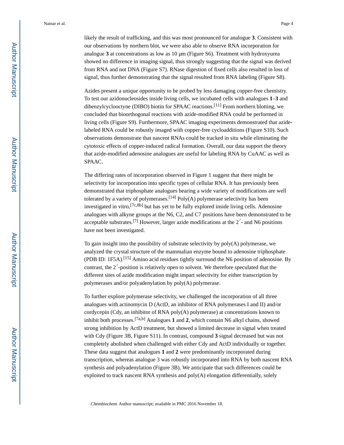Azides present a unique opportunity to be probed by less damaging copper-free chemistry. To test our azidonucleosides inside living cells, we incubated cells with analogues **1**–**3** and dibenzylcyclooctyne (DIBO) biotin for SPAAC reactions.<sup>[11]</sup> From northern blotting, we concluded that bioorthogonal reactions with azide-modified RNA could be performed in living cells (Figure S9). Furthermore, SPAAC imaging experiments demonstrated that azidelabeled RNA could be robustly imaged with copper-free cycloadditions (Figure S10). Such observations demonstrate that nascent RNAs could be tracked in situ while eliminating the cytotoxic effects of copper-induced radical formation. Overall, our data support the theory that azide-modified adenosine analogues are useful for labeling RNA by CuAAC as well as SPAAC.

signal, thus further demonstrating that the signal resulted from RNA labeling (Figure S8).

The differing rates of incorporation observed in Figure 1 suggest that there might be selectivity for incorporation into specific types of cellular RNA. It has previously been demonstrated that triphosphate analogues bearing a wide variety of modifications are well tolerated by a variety of polymerases.<sup>[14]</sup>  $Poly(A)$  polymerase selectivity has been investigated in vitro,  $[7c,8b]$  but has yet to be fully explored inside living cells. Adenosine analogues with alkyne groups at the N6, C2, and C7 positions have been demonstrated to be acceptable substrates.<sup>[7]</sup> However, larger azide modifications at the  $2'$ - and N6 positions have not been investigated.

To gain insight into the possibility of substrate selectivity by poly(A) polymerase, we analyzed the crystal structure of the mammalian enzyme bound to adenosine triphosphate (PDB ID: 1F5A).<sup>[15]</sup> Amino acid residues tightly surround the N6 position of adenosine. By contrast, the 2′-position is relatively open to solvent. We therefore speculated that the different sites of azide modification might impart selectivity for either transcription by polymerases and/or polyadenylation by poly(A) polymerase.

To further explore polymerase selectivity, we challenged the incorporation of all three analogues with actinomycin D (ActD, an inhibitor of RNA polymerases I and II) and/or cordycepin (Cdy, an inhibitor of RNA poly(A) polymerase) at concentrations known to inhibit both processes.[7a,b] Analogues **1** and **2**, which contain N6 alkyl chains, showed strong inhibition by ActD treatment, but showed a limited decrease in signal when treated with Cdy (Figure 3B, Figure S11). In contrast, compound **3** signal decreased but was not completely abolished when challenged with either Cdy and ActD individually or together. These data suggest that analogues **1** and **2** were predominantly incorporated during transcription, whereas analogue 3 was robustly incorporated into RNA by both nascent RNA synthesis and polyadenylation (Figure 3B). We anticipate that such differences could be exploited to track nascent RNA synthesis and poly(A) elongation differentially, solely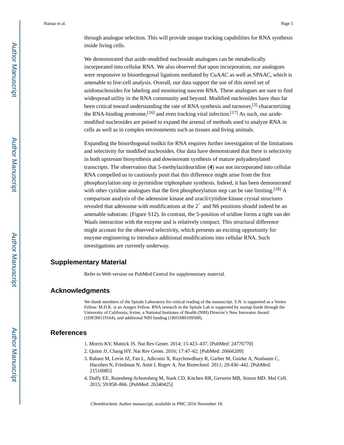through analogue selection. This will provide unique tracking capabilities for RNA synthesis inside living cells.

We demonstrated that azide-modified nucleoside analogues can be metabolically incorporated into cellular RNA. We also observed that upon incorporation, our analogues were responsive to bioorthogonal ligations mediated by CuAAC as well as SPAAC, which is amenable to live-cell analysis. Overall, our data support the use of this novel set of azidonucleosides for labeling and monitoring nascent RNA. These analogues are sure to find widespread utility in the RNA community and beyond. Modified nucleosides have thus far been critical toward understanding the rate of RNA synthesis and turnover,<sup>[3]</sup> characterizing the RNA-binding proteome,  $[16]$  and even tracking viral infection.  $[17]$  As such, our azidemodified nucleosides are poised to expand the arsenal of methods used to analyze RNA in cells as well as in complex environments such as tissues and living animals.

Expanding the bioorthogonal toolkit for RNA requires further investigation of the limitations and selectivity for modified nucleosides. Our data have demonstrated that there is selectivity in both upstream biosynthesis and downstream synthesis of mature polyadenylated transcripts. The observation that 5-methylazidouridine (**4**) was not incorporated into cellular RNA compelled us to cautiously posit that this difference might arise from the first phosphorylation step in pyrimidine triphosphate synthesis. Indeed, it has been demonstrated with other cytidine analogues that the first phosphorylation step can be rate limiting.<sup>[18]</sup> A comparison analysis of the adenosine kinase and uracil/cytidine kinase crystal structures revealed that adenosine with modifications at the 2′ and N6 positions should indeed be an amenable substrate. (Figure S12). In contrast, the 5-position of uridine forms a tight van der Waals interaction with the enzyme and is relatively compact. This structural difference might account for the observed selectivity, which presents an exciting opportunity for enzyme engineering to introduce additional modifications into cellular RNA. Such investigations are currently underway.

### **Supplementary Material**

Refer to Web version on PubMed Central for supplementary material.

#### **Acknowledgments**

We thank members of the Spitale Laboratory for critical reading of the manuscript. S.N. is supported as a Vertex Fellow. M.D.K. is an Amgen Fellow. RNA research in the Spitale Lab is supported by startup funds through the University of California, Irvine, a National Institutes of Health (NIH) Director's New Innovator Award (1DP2M119164), and additional NIH funding (1R01MH109588).

### **References**

- 1. Morris KV, Mattick JS. Nat Rev Genet. 2014; 15:423–437. [PubMed: 24776770]
- 2. Quinn JJ, Chang HY. Nat Rev Genet. 2016; 17:47–62. [PubMed: 26666209]
- 3. Rabani M, Levin JZ, Fan L, Adiconis X, Raychowdhury R, Garber M, Gnirke A, Nusbaum C, Hacohen N, Friedman N, Amit I, Regev A. Nat Biotechnol. 2011; 29:436–442. [PubMed: 21516085]
- 4. Duffy EE, Rutenberg-Schoenberg M, Stark CD, Kitchen RR, Gerstein MB, Simon MD. Mol Cell. 2015; 59:858–866. [PubMed: 26340425]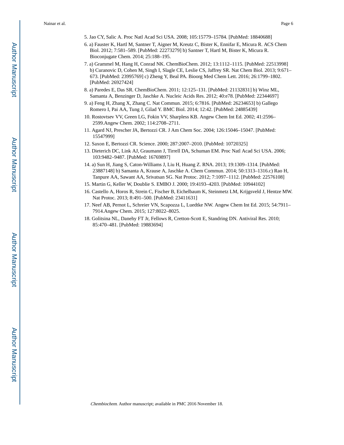- 5. Jao CY, Salic A. Proc Natl Acad Sci USA. 2008; 105:15779–15784. [PubMed: 18840688]
- 6. a) Fauster K, Hartl M, Santner T, Aigner M, Kreutz C, Bister K, Ennifar E, Micura R. ACS Chem Biol. 2012; 7:581–589. [PubMed: 22273279] b) Santner T, Hartl M, Bister K, Micura R. Bioconjugate Chem. 2014; 25:188–195.
- 7. a) Grammel M, Hang H, Conrad NK. ChemBioChem. 2012; 13:1112–1115. [PubMed: 22513998] b) Curanovic D, Cohen M, Singh I, Slagle CE, Leslie CS, Jaffrey SR. Nat Chem Biol. 2013; 9:671– 673. [PubMed: 23995769] c) Zheng Y, Beal PA. Bioorg Med Chem Lett. 2016; 26:1799–1802. [PubMed: 26927424]
- 8. a) Paredes E, Das SR. ChemBioChem. 2011; 12:125–131. [PubMed: 21132831] b) Winz ML, Samanta A, Benzinger D, Jaschke A. Nucleic Acids Res. 2012; 40:e78. [PubMed: 22344697]
- 9. a) Feng H, Zhang X, Zhang C. Nat Commun. 2015; 6:7816. [PubMed: 26234653] b) Gallego Romero I, Pai AA, Tung J, Gilad Y. BMC Biol. 2014; 12:42. [PubMed: 24885439]
- 10. Rostovtsev VV, Green LG, Fokin VV, Sharpless KB. Angew Chem Int Ed. 2002; 41:2596– 2599.Angew Chem. 2002; 114:2708–2711.
- 11. Agard NJ, Prescher JA, Bertozzi CR. J Am Chem Soc. 2004; 126:15046–15047. [PubMed: 15547999]
- 12. Saxon E, Bertozzi CR. Science. 2000; 287:2007–2010. [PubMed: 10720325]
- 13. Dieterich DC, Link AJ, Graumann J, Tirrell DA, Schuman EM. Proc Natl Acad Sci USA. 2006; 103:9482–9487. [PubMed: 16769897]
- 14. a) Sun H, Jiang S, Caton-Williams J, Liu H, Huang Z. RNA. 2013; 19:1309–1314. [PubMed: 23887148] b) Samanta A, Krause A, Jaschke A. Chem Commun. 2014; 50:1313–1316.c) Rao H, Tanpure AA, Sawant AA, Srivatsan SG. Nat Protoc. 2012; 7:1097–1112. [PubMed: 22576108]
- 15. Martin G, Keller W, Doublie S. EMBO J. 2000; 19:4193–4203. [PubMed: 10944102]
- 16. Castello A, Horos R, Strein C, Fischer B, Eichelbaum K, Steinmetz LM, Krijgsveld J, Hentze MW. Nat Protoc. 2013; 8:491–500. [PubMed: 23411631]
- 17. Neef AB, Pernot L, Schreier VN, Scapozza L, Luedtke NW. Angew Chem Int Ed. 2015; 54:7911– 7914.Angew Chem. 2015; 127:8022–8025.
- 18. Golitsina NL, Danehy FT Jr, Fellows R, Cretton-Scott E, Standring DN. Antiviral Res. 2010; 85:470–481. [PubMed: 19883694]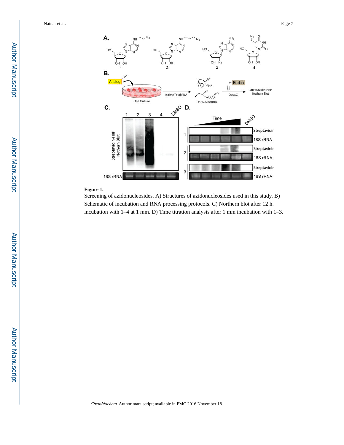

#### **Figure 1.**

Screening of azidonucleosides. A) Structures of azidonucleosides used in this study. B) Schematic of incubation and RNA processing protocols. C) Northern blot after 12 h. incubation with 1–4 at 1 mm. D) Time titration analysis after 1 mm incubation with 1–3.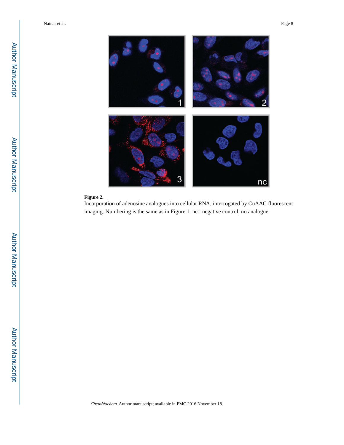

#### **Figure 2.**

Incorporation of adenosine analogues into cellular RNA, interrogated by CuAAC fluorescent imaging. Numbering is the same as in Figure 1. nc= negative control, no analogue.